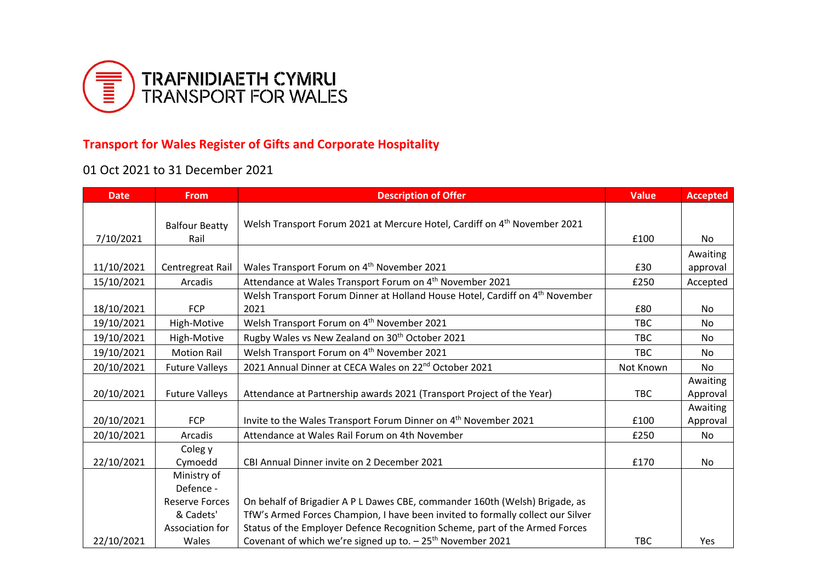

## **Transport for Wales Register of Gifts and Corporate Hospitality**

## 01 Oct 2021 to 31 December 2021

| <b>Date</b> | <b>From</b>           | <b>Description of Offer</b>                                                              | <b>Value</b> | <b>Accepted</b> |
|-------------|-----------------------|------------------------------------------------------------------------------------------|--------------|-----------------|
|             |                       |                                                                                          |              |                 |
|             | <b>Balfour Beatty</b> | Welsh Transport Forum 2021 at Mercure Hotel, Cardiff on 4 <sup>th</sup> November 2021    |              |                 |
| 7/10/2021   | Rail                  |                                                                                          | £100         | No              |
|             |                       |                                                                                          |              | Awaiting        |
| 11/10/2021  | Centregreat Rail      | Wales Transport Forum on 4 <sup>th</sup> November 2021                                   | £30          | approval        |
| 15/10/2021  | Arcadis               | Attendance at Wales Transport Forum on 4 <sup>th</sup> November 2021                     | £250         | Accepted        |
|             |                       | Welsh Transport Forum Dinner at Holland House Hotel, Cardiff on 4 <sup>th</sup> November |              |                 |
| 18/10/2021  | <b>FCP</b>            | 2021                                                                                     | £80          | No              |
| 19/10/2021  | High-Motive           | Welsh Transport Forum on 4 <sup>th</sup> November 2021                                   | <b>TBC</b>   | No              |
| 19/10/2021  | High-Motive           | Rugby Wales vs New Zealand on 30 <sup>th</sup> October 2021                              | <b>TBC</b>   | No              |
| 19/10/2021  | <b>Motion Rail</b>    | Welsh Transport Forum on 4 <sup>th</sup> November 2021                                   | <b>TBC</b>   | No              |
| 20/10/2021  | <b>Future Valleys</b> | 2021 Annual Dinner at CECA Wales on 22 <sup>nd</sup> October 2021                        | Not Known    | No              |
|             |                       |                                                                                          |              | Awaiting        |
| 20/10/2021  | <b>Future Valleys</b> | Attendance at Partnership awards 2021 (Transport Project of the Year)                    | <b>TBC</b>   | Approval        |
|             |                       |                                                                                          |              | Awaiting        |
| 20/10/2021  | <b>FCP</b>            | Invite to the Wales Transport Forum Dinner on 4 <sup>th</sup> November 2021              | £100         | Approval        |
| 20/10/2021  | Arcadis               | Attendance at Wales Rail Forum on 4th November                                           | £250         | No              |
|             | Coleg y               |                                                                                          |              |                 |
| 22/10/2021  | Cymoedd               | CBI Annual Dinner invite on 2 December 2021                                              | £170         | No              |
|             | Ministry of           |                                                                                          |              |                 |
|             | Defence -             |                                                                                          |              |                 |
|             | <b>Reserve Forces</b> | On behalf of Brigadier A P L Dawes CBE, commander 160th (Welsh) Brigade, as              |              |                 |
|             | & Cadets'             | TfW's Armed Forces Champion, I have been invited to formally collect our Silver          |              |                 |
|             | Association for       | Status of the Employer Defence Recognition Scheme, part of the Armed Forces              |              |                 |
| 22/10/2021  | Wales                 | Covenant of which we're signed up to. - 25 <sup>th</sup> November 2021                   | <b>TBC</b>   | Yes             |